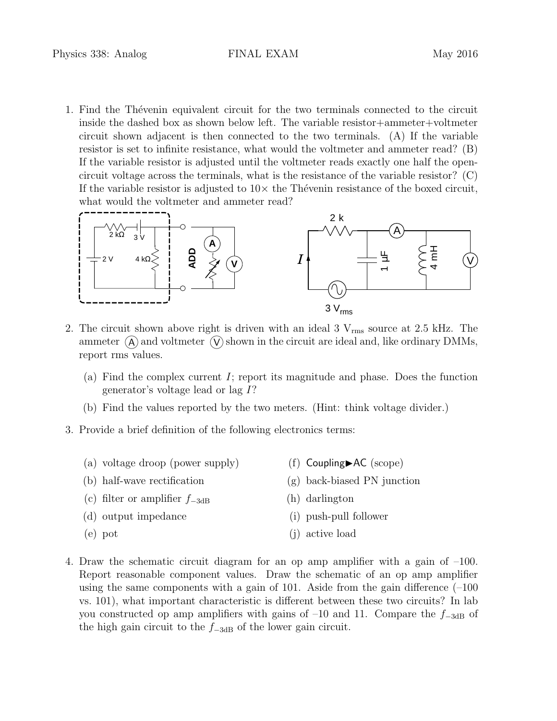1. Find the Thévenin equivalent circuit for the two terminals connected to the circuit inside the dashed box as shown below left. The variable resistor+ammeter+voltmeter circuit shown adjacent is then connected to the two terminals. (A) If the variable resistor is set to infinite resistance, what would the voltmeter and ammeter read? (B) If the variable resistor is adjusted until the voltmeter reads exactly one half the opencircuit voltage across the terminals, what is the resistance of the variable resistor? (C) If the variable resistor is adjusted to  $10\times$  the Thévenin resistance of the boxed circuit, what would the voltmeter and ammeter read?



- 2. The circuit shown above right is driven with an ideal  $3 \text{ V}_{\text{rms}}$  source at  $2.5 \text{ kHz}$ . The ammeter  $(A)$  and voltmeter  $(V)$  shown in the circuit are ideal and, like ordinary DMMs, report rms values.
	- (a) Find the complex current I; report its magnitude and phase. Does the function generator's voltage lead or lag I?
	- (b) Find the values reported by the two meters. (Hint: think voltage divider.)
- 3. Provide a brief definition of the following electronics terms:
	- (a) voltage droop (power supply) (f) Coupling $\blacktriangleright$ AC (scope)
	- (b) half-wave rectification
	- (c) filter or amplifier  $f_{-3dB}$
	- (d) output impedance
	- (e) pot
- 
- (g) back-biased PN junction
- (h) darlington
	- (i) push-pull follower
- (j) active load
- 4. Draw the schematic circuit diagram for an op amp amplifier with a gain of –100. Report reasonable component values. Draw the schematic of an op amp amplifier using the same components with a gain of 101. Aside from the gain difference  $(-100$ vs. 101), what important characteristic is different between these two circuits? In lab you constructed op amp amplifiers with gains of –10 and 11. Compare the  $f_{-3dB}$  of the high gain circuit to the  $f_{-3dB}$  of the lower gain circuit.